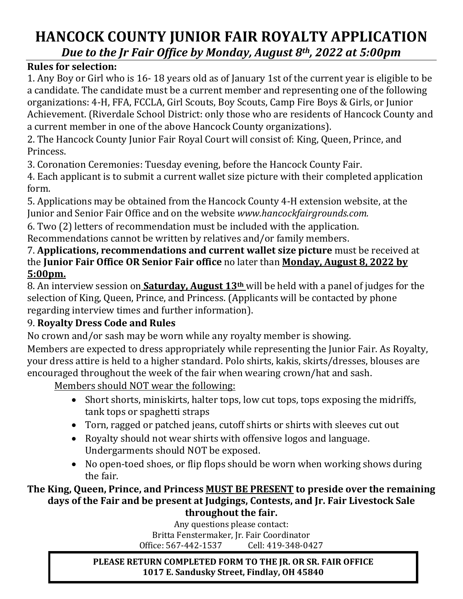# **HANCOCK COUNTY JUNIOR FAIR ROYALTY APPLICATION** *Due to the Jr Fair Office by Monday, August 8th, 2022 at 5:00pm*

### **Rules for selection:**

1. Any Boy or Girl who is 16- 18 years old as of January 1st of the current year is eligible to be a candidate. The candidate must be a current member and representing one of the following organizations: 4-H, FFA, FCCLA, Girl Scouts, Boy Scouts, Camp Fire Boys & Girls, or Junior Achievement. (Riverdale School District: only those who are residents of Hancock County and a current member in one of the above Hancock County organizations).

2. The Hancock County Junior Fair Royal Court will consist of: King, Queen, Prince, and Princess.

3. Coronation Ceremonies: Tuesday evening, before the Hancock County Fair.

4. Each applicant is to submit a current wallet size picture with their completed application form.

5. Applications may be obtained from the Hancock County 4-H extension website, at the Junior and Senior Fair Office and on the website *www.hancockfairgrounds.com.*

6. Two (2) letters of recommendation must be included with the application.

Recommendations cannot be written by relatives and/or family members.

7. **Applications, recommendations and current wallet size picture** must be received at the **Junior Fair Office OR Senior Fair office** no later than **Monday, August 8, 2022 by 5:00pm.** 

8. An interview session on **Saturday, August 13th** will be held with a panel of judges for the selection of King, Queen, Prince, and Princess. (Applicants will be contacted by phone regarding interview times and further information).

### 9. **Royalty Dress Code and Rules**

No crown and/or sash may be worn while any royalty member is showing.

Members are expected to dress appropriately while representing the Junior Fair. As Royalty, your dress attire is held to a higher standard. Polo shirts, kakis, skirts/dresses, blouses are encouraged throughout the week of the fair when wearing crown/hat and sash.

Members should NOT wear the following:

- Short shorts, miniskirts, halter tops, low cut tops, tops exposing the midriffs, tank tops or spaghetti straps
- Torn, ragged or patched jeans, cutoff shirts or shirts with sleeves cut out
- Royalty should not wear shirts with offensive logos and language. Undergarments should NOT be exposed.
- No open-toed shoes, or flip flops should be worn when working shows during the fair.

#### **The King, Queen, Prince, and Princess MUST BE PRESENT to preside over the remaining days of the Fair and be present at Judgings, Contests, and Jr. Fair Livestock Sale throughout the fair.**

Any questions please contact: Britta Fenstermaker, Jr. Fair Coordinator Office: 567-442-1537

**PLEASE RETURN COMPLETED FORM TO THE JR. OR SR. FAIR OFFICE 1017 E. Sandusky Street, Findlay, OH 45840**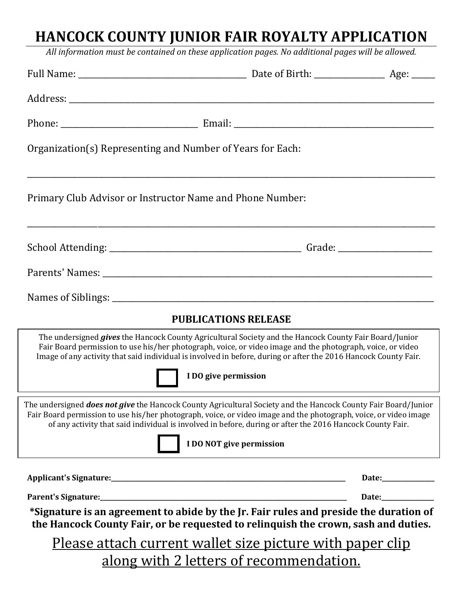# **HANCOCK COUNTY JUNIOR FAIR ROYALTY APPLICATION**

*All information must be contained on these application pages. No additional pages will be allowed.*

| Organization(s) Representing and Number of Years for Each:                                                                                                                                                                                                                                                                                                                  |  |                     |
|-----------------------------------------------------------------------------------------------------------------------------------------------------------------------------------------------------------------------------------------------------------------------------------------------------------------------------------------------------------------------------|--|---------------------|
| Primary Club Advisor or Instructor Name and Phone Number:                                                                                                                                                                                                                                                                                                                   |  |                     |
|                                                                                                                                                                                                                                                                                                                                                                             |  |                     |
|                                                                                                                                                                                                                                                                                                                                                                             |  |                     |
|                                                                                                                                                                                                                                                                                                                                                                             |  |                     |
| <b>PUBLICATIONS RELEASE</b>                                                                                                                                                                                                                                                                                                                                                 |  |                     |
| The undersigned <i>gives</i> the Hancock County Agricultural Society and the Hancock County Fair Board/Junior<br>Fair Board permission to use his/her photograph, voice, or video image and the photograph, voice, or video<br>Image of any activity that said individual is involved in before, during or after the 2016 Hancock County Fair.                              |  |                     |
| I DO give permission                                                                                                                                                                                                                                                                                                                                                        |  |                     |
| The undersigned does not give the Hancock County Agricultural Society and the Hancock County Fair Board/Junior<br>Fair Board permission to use his/her photograph, voice, or video image and the photograph, voice, or video image<br>of any activity that said individual is involved in before, during or after the 2016 Hancock County Fair.<br>I DO NOT give permission |  |                     |
|                                                                                                                                                                                                                                                                                                                                                                             |  | Date:______________ |
|                                                                                                                                                                                                                                                                                                                                                                             |  | Date:_____________  |
| *Signature is an agreement to abide by the Jr. Fair rules and preside the duration of<br>the Hancock County Fair, or be requested to relinquish the crown, sash and duties.                                                                                                                                                                                                 |  |                     |
| <u>Please attach current wallet size picture with paper clip</u>                                                                                                                                                                                                                                                                                                            |  |                     |
| along with 2 letters of recommendation.                                                                                                                                                                                                                                                                                                                                     |  |                     |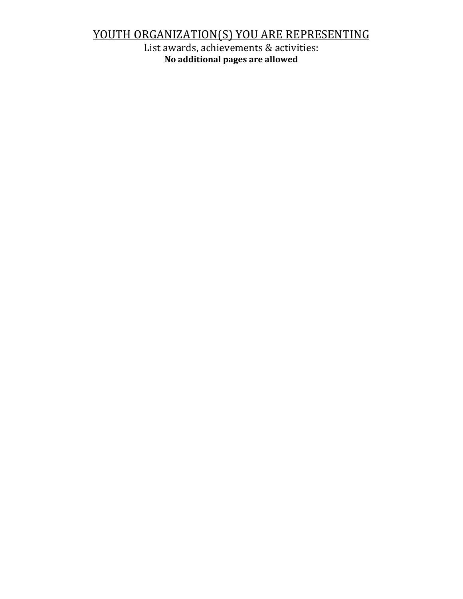# YOUTH ORGANIZATION(S) YOU ARE REPRESENTING

List awards, achievements & activities: **No additional pages are allowed**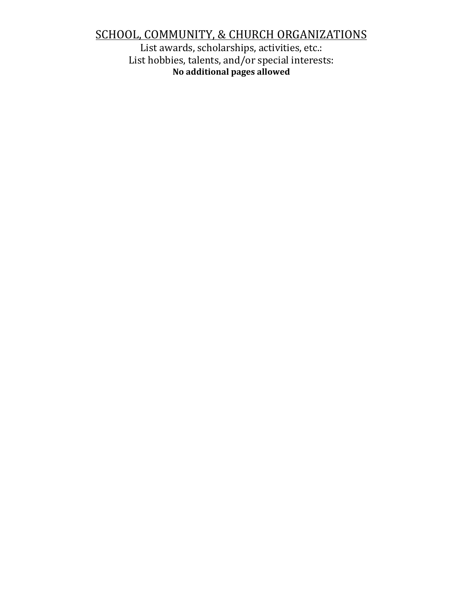## SCHOOL, COMMUNITY, & CHURCH ORGANIZATIONS

List awards, scholarships, activities, etc.: List hobbies, talents, and/or special interests: **No additional pages allowed**